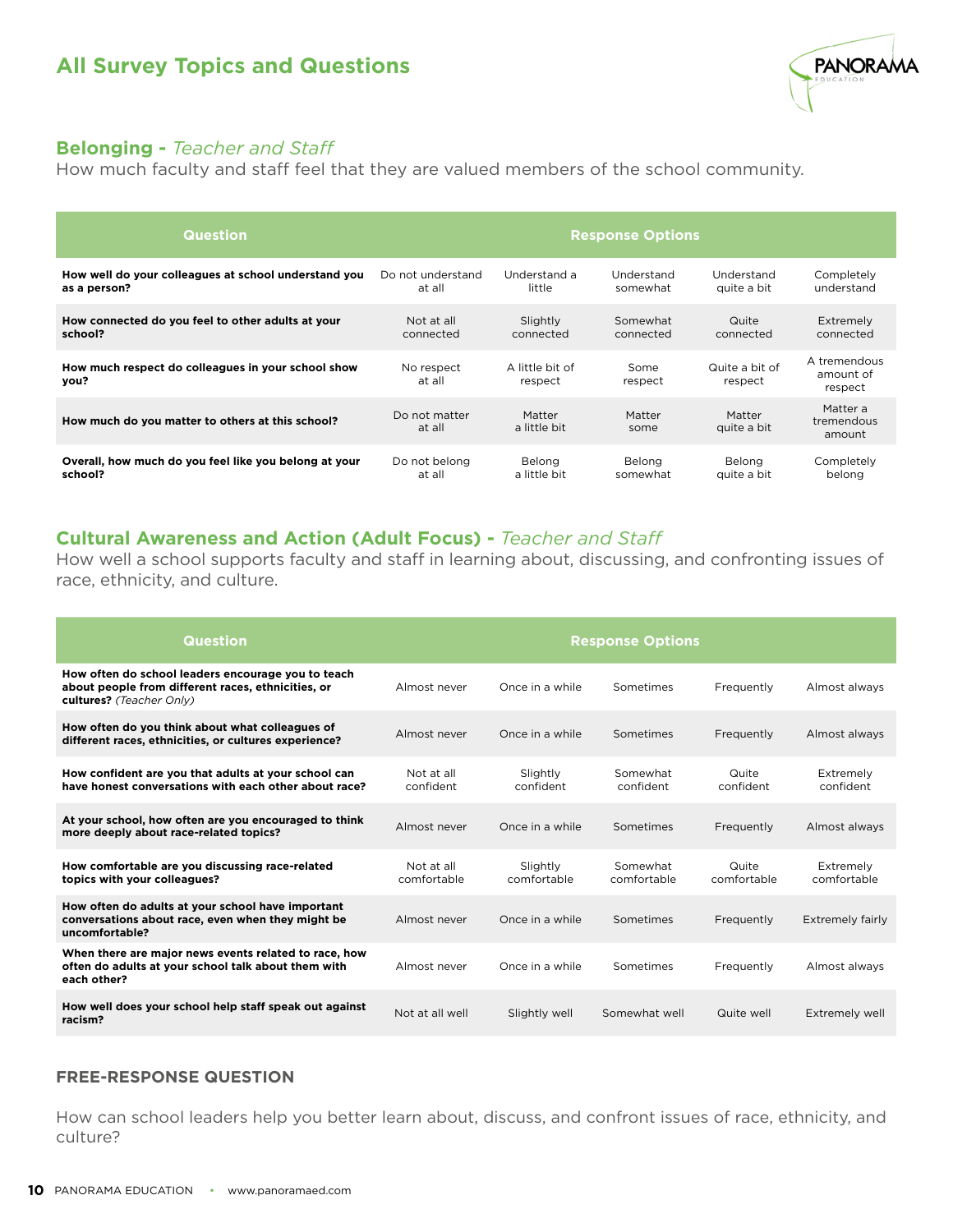

### **Belonging -** *Teacher and Staff*

How much faculty and staff feel that they are valued members of the school community.

| <b>Question</b>                                            | <b>Response Options</b> |                            |                 |                           |                                      |
|------------------------------------------------------------|-------------------------|----------------------------|-----------------|---------------------------|--------------------------------------|
| How well do your colleagues at school understand you       | Do not understand       | Understand a               | Understand      | Understand                | Completely                           |
| as a person?                                               | at all                  | little                     | somewhat        | quite a bit               | understand                           |
| How connected do you feel to other adults at your          | Not at all              | Slightly                   | Somewhat        | Quite                     | Extremely                            |
| school?                                                    | connected               | connected                  | connected       | connected                 | connected                            |
| How much respect do colleagues in your school show<br>you? | No respect<br>at all    | A little bit of<br>respect | Some<br>respect | Quite a bit of<br>respect | A tremendous<br>amount of<br>respect |
| How much do you matter to others at this school?           | Do not matter<br>at all | Matter<br>a little bit     | Matter<br>some  | Matter<br>quite a bit     | Matter a<br>tremendous<br>amount     |
| Overall, how much do you feel like you belong at your      | Do not belong           | Belong                     | Belong          | Belong                    | Completely                           |
| school?                                                    | at all                  | a little bit               | somewhat        | quite a bit               | belong                               |

## **Cultural Awareness and Action (Adult Focus) -** *Teacher and Staff*

How well a school supports faculty and staff in learning about, discussing, and confronting issues of race, ethnicity, and culture.

| <b>Question</b>                                                                                                                      | <b>Response Options</b>   |                         |                         |                      |                          |
|--------------------------------------------------------------------------------------------------------------------------------------|---------------------------|-------------------------|-------------------------|----------------------|--------------------------|
| How often do school leaders encourage you to teach<br>about people from different races, ethnicities, or<br>cultures? (Teacher Only) | Almost never              | Once in a while         | Sometimes               | Frequently           | Almost always            |
| How often do you think about what colleagues of<br>different races, ethnicities, or cultures experience?                             | Almost never              | Once in a while         | Sometimes               | Frequently           | Almost always            |
| How confident are you that adults at your school can<br>have honest conversations with each other about race?                        | Not at all<br>confident   | Slightly<br>confident   | Somewhat<br>confident   | Quite<br>confident   | Extremely<br>confident   |
| At your school, how often are you encouraged to think<br>more deeply about race-related topics?                                      | Almost never              | Once in a while         | Sometimes               | Frequently           | Almost always            |
| How comfortable are you discussing race-related<br>topics with your colleagues?                                                      | Not at all<br>comfortable | Slightly<br>comfortable | Somewhat<br>comfortable | Quite<br>comfortable | Extremely<br>comfortable |
| How often do adults at your school have important<br>conversations about race, even when they might be<br>uncomfortable?             | Almost never              | Once in a while         | Sometimes               | Frequently           | Extremely fairly         |
| When there are major news events related to race, how<br>often do adults at your school talk about them with<br>each other?          | Almost never              | Once in a while         | Sometimes               | Frequently           | Almost always            |
| How well does your school help staff speak out against<br>racism?                                                                    | Not at all well           | Slightly well           | Somewhat well           | Quite well           | Extremely well           |

#### **FREE-RESPONSE QUESTION**

How can school leaders help you better learn about, discuss, and confront issues of race, ethnicity, and culture?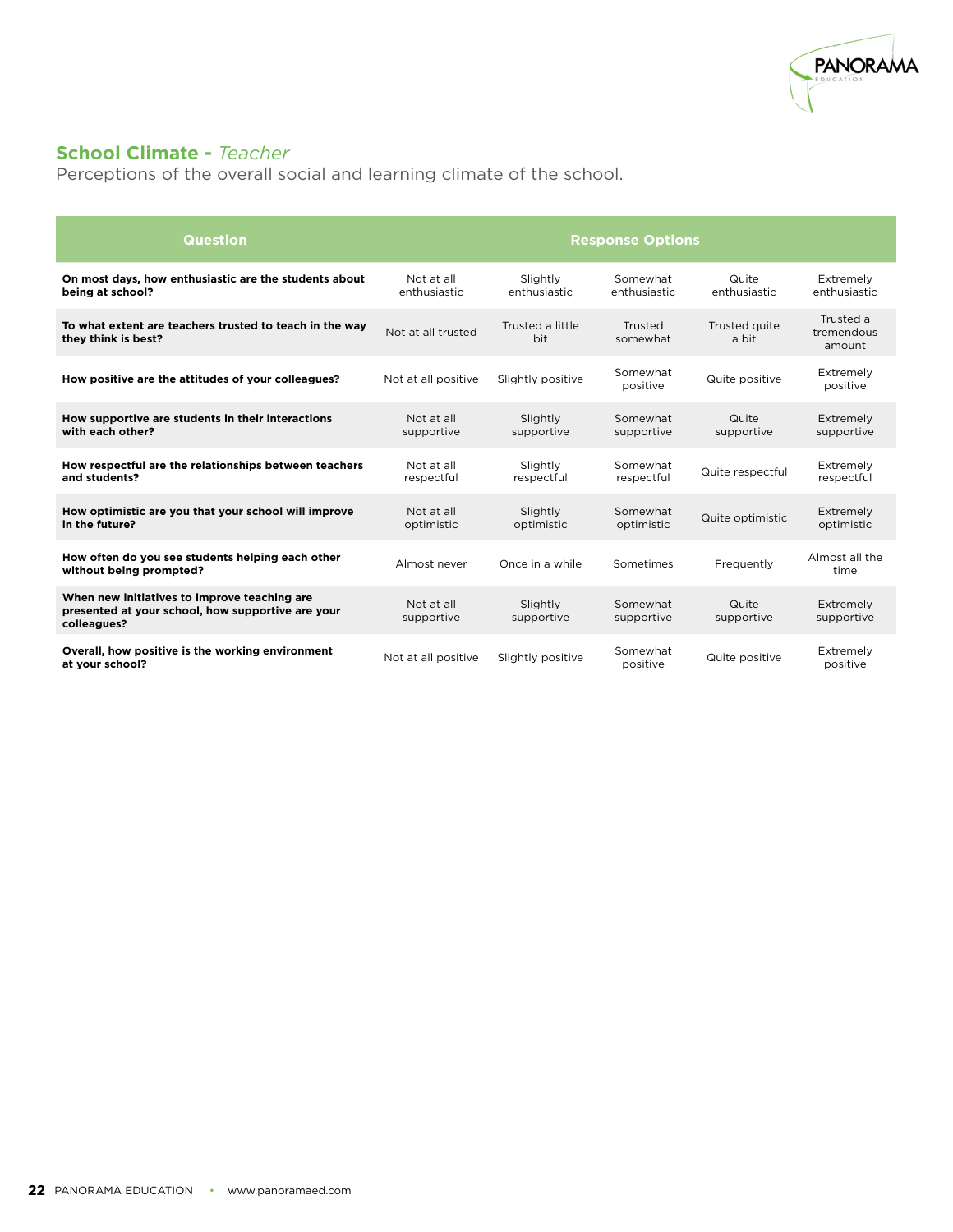

# **School Climate -** *Teacher*

Perceptions of the overall social and learning climate of the school.

| Question                                                                                                         | <b>Response Options</b>    |                          |                          |                        |                                   |  |
|------------------------------------------------------------------------------------------------------------------|----------------------------|--------------------------|--------------------------|------------------------|-----------------------------------|--|
| On most days, how enthusiastic are the students about<br>being at school?                                        | Not at all<br>enthusiastic | Slightly<br>enthusiastic | Somewhat<br>enthusiastic | Quite<br>enthusiastic  | Extremely<br>enthusiastic         |  |
| To what extent are teachers trusted to teach in the way<br>they think is best?                                   | Not at all trusted         | Trusted a little<br>bit  | Trusted<br>somewhat      | Trusted quite<br>a bit | Trusted a<br>tremendous<br>amount |  |
| How positive are the attitudes of your colleagues?                                                               | Not at all positive        | Slightly positive        | Somewhat<br>positive     | Quite positive         | Extremely<br>positive             |  |
| How supportive are students in their interactions<br>with each other?                                            | Not at all<br>supportive   | Slightly<br>supportive   | Somewhat<br>supportive   | Quite<br>supportive    | Extremely<br>supportive           |  |
| How respectful are the relationships between teachers<br>and students?                                           | Not at all<br>respectful   | Slightly<br>respectful   | Somewhat<br>respectful   | Quite respectful       | Extremely<br>respectful           |  |
| How optimistic are you that your school will improve<br>in the future?                                           | Not at all<br>optimistic   | Slightly<br>optimistic   | Somewhat<br>optimistic   | Quite optimistic       | Extremely<br>optimistic           |  |
| How often do you see students helping each other<br>without being prompted?                                      | Almost never               | Once in a while          | Sometimes                | Frequently             | Almost all the<br>time            |  |
| When new initiatives to improve teaching are<br>presented at your school, how supportive are your<br>colleagues? | Not at all<br>supportive   | Slightly<br>supportive   | Somewhat<br>supportive   | Quite<br>supportive    | Extremely<br>supportive           |  |
| Overall, how positive is the working environment<br>at your school?                                              | Not at all positive        | Slightly positive        | Somewhat<br>positive     | Quite positive         | Extremely<br>positive             |  |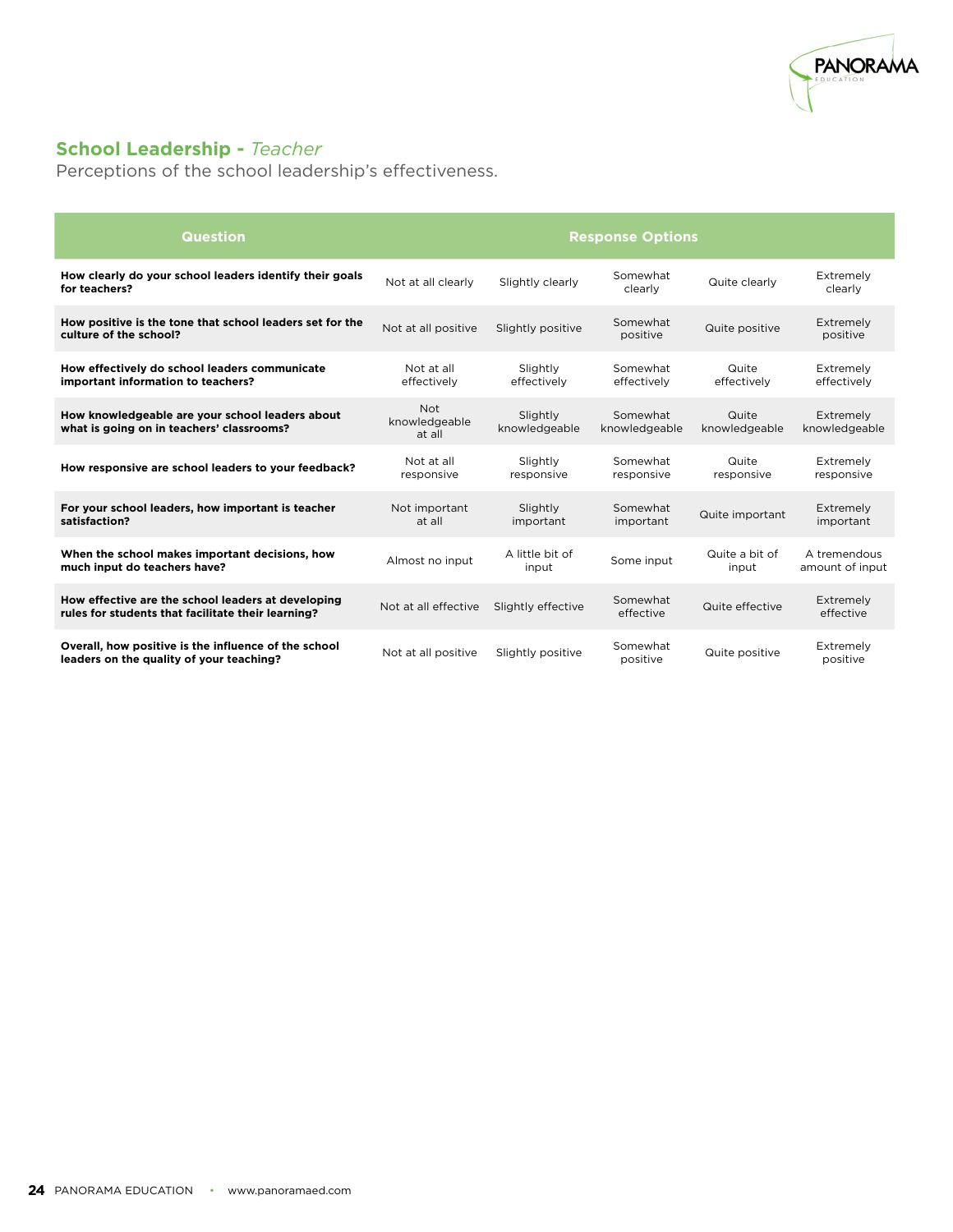

### **School Leadership -** *Teacher*

Perceptions of the school leadership's effectiveness.

| Question                                                                                                 | <b>Response Options</b>               |                           |                           |                         |                                 |  |
|----------------------------------------------------------------------------------------------------------|---------------------------------------|---------------------------|---------------------------|-------------------------|---------------------------------|--|
| How clearly do your school leaders identify their goals<br>for teachers?                                 | Not at all clearly                    | Slightly clearly          | Somewhat<br>clearly       | Quite clearly           | Extremely<br>clearly            |  |
| How positive is the tone that school leaders set for the<br>culture of the school?                       | Not at all positive                   | Slightly positive         | Somewhat<br>positive      | Quite positive          | Extremely<br>positive           |  |
| How effectively do school leaders communicate<br>important information to teachers?                      | Not at all<br>effectively             | Slightly<br>effectively   | Somewhat<br>effectively   | Quite<br>effectively    | Extremely<br>effectively        |  |
| How knowledgeable are your school leaders about<br>what is going on in teachers' classrooms?             | <b>Not</b><br>knowledgeable<br>at all | Slightly<br>knowledgeable | Somewhat<br>knowledgeable | Quite<br>knowledgeable  | Extremely<br>knowledgeable      |  |
| How responsive are school leaders to your feedback?                                                      | Not at all<br>responsive              | Slightly<br>responsive    | Somewhat<br>responsive    | Quite<br>responsive     | Extremely<br>responsive         |  |
| For your school leaders, how important is teacher<br>satisfaction?                                       | Not important<br>at all               | Slightly<br>important     | Somewhat<br>important     | Quite important         | Extremely<br>important          |  |
| When the school makes important decisions, how<br>much input do teachers have?                           | Almost no input                       | A little bit of<br>input  | Some input                | Quite a bit of<br>input | A tremendous<br>amount of input |  |
| How effective are the school leaders at developing<br>rules for students that facilitate their learning? | Not at all effective                  | Slightly effective        | Somewhat<br>effective     | Quite effective         | Extremely<br>effective          |  |
| Overall, how positive is the influence of the school<br>leaders on the quality of your teaching?         | Not at all positive                   | Slightly positive         | Somewhat<br>positive      | Quite positive          | Extremely<br>positive           |  |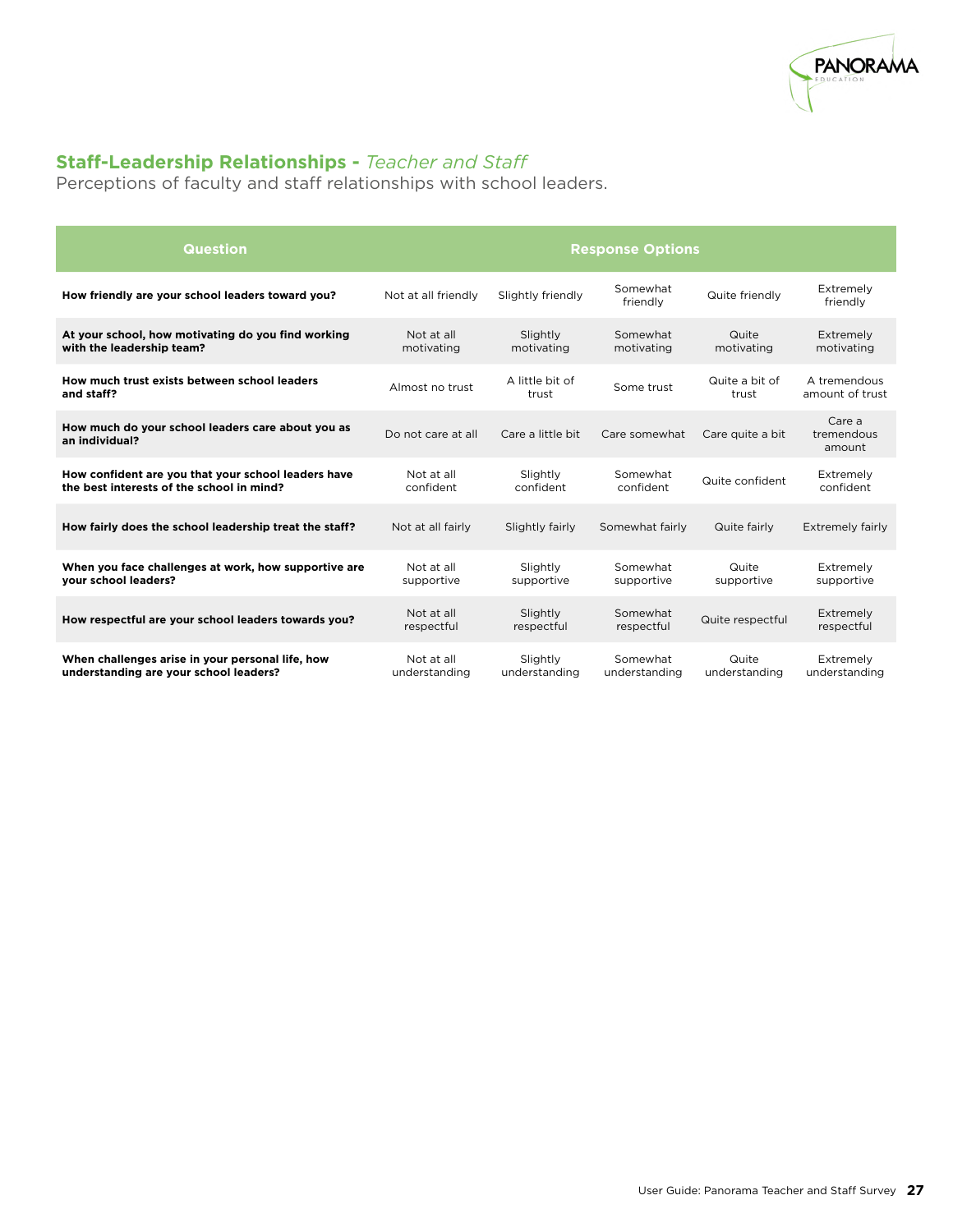

### **Staff-Leadership Relationships -** *Teacher and Staff*

Perceptions of faculty and staff relationships with school leaders.

| <b>Question</b>                                                                                  | <b>Response Options</b>     |                           |                           |                         |                                 |  |
|--------------------------------------------------------------------------------------------------|-----------------------------|---------------------------|---------------------------|-------------------------|---------------------------------|--|
| How friendly are your school leaders toward you?                                                 | Not at all friendly         | Slightly friendly         | Somewhat<br>friendly      | Quite friendly          | Extremely<br>friendly           |  |
| At your school, how motivating do you find working<br>with the leadership team?                  | Not at all<br>motivating    | Slightly<br>motivating    | Somewhat<br>motivating    | Quite<br>motivating     | Extremely<br>motivating         |  |
| How much trust exists between school leaders<br>and staff?                                       | Almost no trust             | A little bit of<br>trust  | Some trust                | Quite a bit of<br>trust | A tremendous<br>amount of trust |  |
| How much do your school leaders care about you as<br>an individual?                              | Do not care at all          | Care a little bit         | Care somewhat             | Care quite a bit        | Care a<br>tremendous<br>amount  |  |
| How confident are you that your school leaders have<br>the best interests of the school in mind? | Not at all<br>confident     | Slightly<br>confident     | Somewhat<br>confident     | Quite confident         | Extremely<br>confident          |  |
| How fairly does the school leadership treat the staff?                                           | Not at all fairly           | Slightly fairly           | Somewhat fairly           | Quite fairly            | Extremely fairly                |  |
| When you face challenges at work, how supportive are<br>your school leaders?                     | Not at all<br>supportive    | Slightly<br>supportive    | Somewhat<br>supportive    | Quite<br>supportive     | Extremely<br>supportive         |  |
| How respectful are your school leaders towards you?                                              | Not at all<br>respectful    | Slightly<br>respectful    | Somewhat<br>respectful    | Quite respectful        | Extremely<br>respectful         |  |
| When challenges arise in your personal life, how<br>understanding are your school leaders?       | Not at all<br>understanding | Slightly<br>understanding | Somewhat<br>understanding | Quite<br>understanding  | Extremely<br>understanding      |  |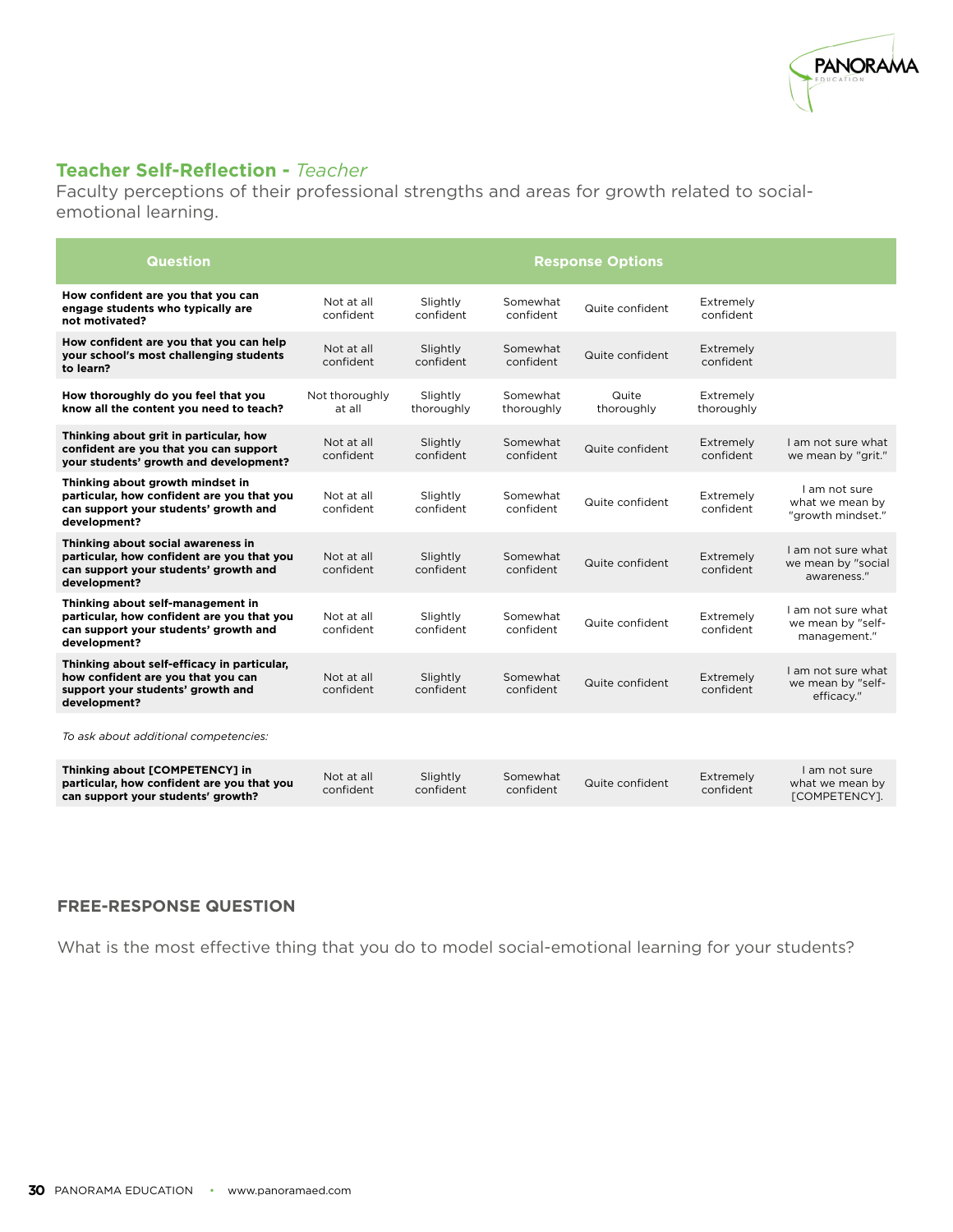

#### **Teacher Self-Reflection -** *Teacher*

Faculty perceptions of their professional strengths and areas for growth related to socialemotional learning.

| <b>Question</b>                                                                                                                           | <b>Response Options</b>  |                        |                        |                     |                         |                                                         |  |
|-------------------------------------------------------------------------------------------------------------------------------------------|--------------------------|------------------------|------------------------|---------------------|-------------------------|---------------------------------------------------------|--|
| How confident are you that you can<br>engage students who typically are<br>not motivated?                                                 | Not at all<br>confident  | Slightly<br>confident  | Somewhat<br>confident  | Quite confident     | Extremely<br>confident  |                                                         |  |
| How confident are you that you can help<br>your school's most challenging students<br>to learn?                                           | Not at all<br>confident  | Slightly<br>confident  | Somewhat<br>confident  | Quite confident     | Extremely<br>confident  |                                                         |  |
| How thoroughly do you feel that you<br>know all the content you need to teach?                                                            | Not thoroughly<br>at all | Slightly<br>thoroughly | Somewhat<br>thoroughly | Quite<br>thoroughly | Extremely<br>thoroughly |                                                         |  |
| Thinking about grit in particular, how<br>confident are you that you can support<br>your students' growth and development?                | Not at all<br>confident  | Slightly<br>confident  | Somewhat<br>confident  | Quite confident     | Extremely<br>confident  | I am not sure what<br>we mean by "grit."                |  |
| Thinking about growth mindset in<br>particular, how confident are you that you<br>can support your students' growth and<br>development?   | Not at all<br>confident  | Slightly<br>confident  | Somewhat<br>confident  | Quite confident     | Extremely<br>confident  | I am not sure<br>what we mean by<br>"growth mindset."   |  |
| Thinking about social awareness in<br>particular, how confident are you that you<br>can support your students' growth and<br>development? | Not at all<br>confident  | Slightly<br>confident  | Somewhat<br>confident  | Quite confident     | Extremely<br>confident  | I am not sure what<br>we mean by "social<br>awareness." |  |
| Thinking about self-management in<br>particular, how confident are you that you<br>can support your students' growth and<br>development?  | Not at all<br>confident  | Slightly<br>confident  | Somewhat<br>confident  | Quite confident     | Extremely<br>confident  | I am not sure what<br>we mean by "self-<br>management." |  |
| Thinking about self-efficacy in particular,<br>how confident are you that you can<br>support your students' growth and<br>development?    | Not at all<br>confident  | Slightly<br>confident  | Somewhat<br>confident  | Quite confident     | Extremely<br>confident  | I am not sure what<br>we mean by "self-<br>efficacy."   |  |
| To ask about additional competencies:                                                                                                     |                          |                        |                        |                     |                         |                                                         |  |
| Thinking about [COMPETENCY] in<br>particular, how confident are you that you<br>can support your students' growth?                        | Not at all<br>confident  | Slightly<br>confident  | Somewhat<br>confident  | Quite confident     | Extremely<br>confident  | I am not sure<br>what we mean by<br>[COMPETENCY].       |  |

#### **FREE-RESPONSE QUESTION**

What is the most effective thing that you do to model social-emotional learning for your students?